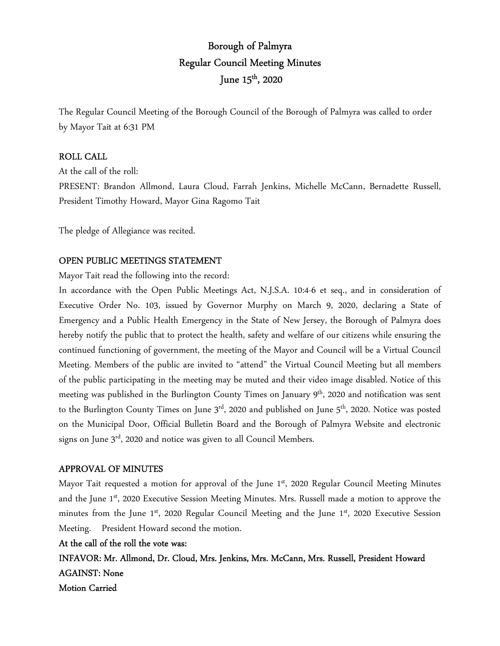# Borough of Palmyra Regular Council Meeting Minutes June  $15^{\text{th}}$ , 2020

The Regular Council Meeting of the Borough Council of the Borough of Palmyra was called to order by Mayor Tait at 6:31 PM

#### ROLL CALL

At the call of the roll:

PRESENT: Brandon Allmond, Laura Cloud, Farrah Jenkins, Michelle McCann, Bernadette Russell, President Timothy Howard, Mayor Gina Ragomo Tait

The pledge of Allegiance was recited.

#### OPEN PUBLIC MEETINGS STATEMENT

Mayor Tait read the following into the record:

In accordance with the Open Public Meetings Act, N.J.S.A. 10:4-6 et seq., and in consideration of Executive Order No. 103, issued by Governor Murphy on March 9, 2020, declaring a State of Emergency and a Public Health Emergency in the State of New Jersey, the Borough of Palmyra does hereby notify the public that to protect the health, safety and welfare of our citizens while ensuring the continued functioning of government, the meeting of the Mayor and Council will be a Virtual Council Meeting. Members of the public are invited to "attend" the Virtual Council Meeting but all members of the public participating in the meeting may be muted and their video image disabled. Notice of this meeting was published in the Burlington County Times on January 9<sup>th</sup>, 2020 and notification was sent to the Burlington County Times on June  $3<sup>rd</sup>$ , 2020 and published on June  $5<sup>th</sup>$ , 2020. Notice was posted on the Municipal Door, Official Bulletin Board and the Borough of Palmyra Website and electronic signs on June  $3<sup>rd</sup>$ , 2020 and notice was given to all Council Members.

#### APPROVAL OF MINUTES

Mayor Tait requested a motion for approval of the June 1st, 2020 Regular Council Meeting Minutes and the June 1st, 2020 Executive Session Meeting Minutes. Mrs. Russell made a motion to approve the minutes from the June  $1<sup>st</sup>$ , 2020 Regular Council Meeting and the June  $1<sup>st</sup>$ , 2020 Executive Session Meeting. President Howard second the motion.

#### At the call of the roll the vote was:

INFAVOR: Mr. Allmond, Dr. Cloud, Mrs. Jenkins, Mrs. McCann, Mrs. Russell, President Howard AGAINST: None Motion Carried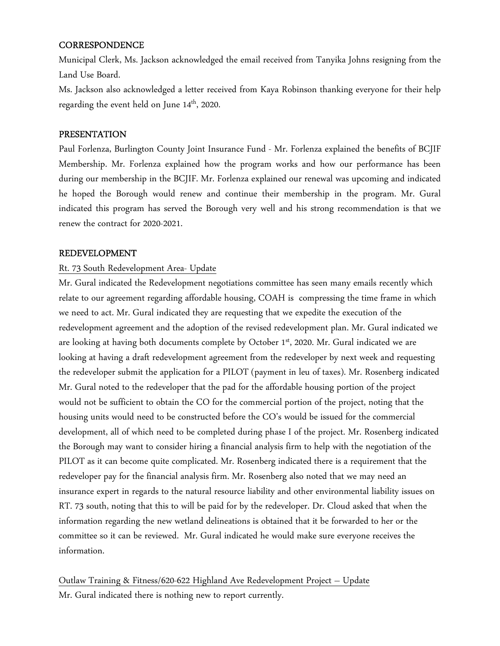## **CORRESPONDENCE**

Municipal Clerk, Ms. Jackson acknowledged the email received from Tanyika Johns resigning from the Land Use Board.

Ms. Jackson also acknowledged a letter received from Kaya Robinson thanking everyone for their help regarding the event held on June  $14^{\rm th}$ , 2020.

#### PRESENTATION

Paul Forlenza, Burlington County Joint Insurance Fund - Mr. Forlenza explained the benefits of BCJIF Membership. Mr. Forlenza explained how the program works and how our performance has been during our membership in the BCJIF. Mr. Forlenza explained our renewal was upcoming and indicated he hoped the Borough would renew and continue their membership in the program. Mr. Gural indicated this program has served the Borough very well and his strong recommendation is that we renew the contract for 2020-2021.

#### REDEVELOPMENT

## Rt. 73 South Redevelopment Area- Update

Mr. Gural indicated the Redevelopment negotiations committee has seen many emails recently which relate to our agreement regarding affordable housing, COAH is compressing the time frame in which we need to act. Mr. Gural indicated they are requesting that we expedite the execution of the redevelopment agreement and the adoption of the revised redevelopment plan. Mr. Gural indicated we are looking at having both documents complete by October 1st, 2020. Mr. Gural indicated we are looking at having a draft redevelopment agreement from the redeveloper by next week and requesting the redeveloper submit the application for a PILOT (payment in leu of taxes). Mr. Rosenberg indicated Mr. Gural noted to the redeveloper that the pad for the affordable housing portion of the project would not be sufficient to obtain the CO for the commercial portion of the project, noting that the housing units would need to be constructed before the CO's would be issued for the commercial development, all of which need to be completed during phase I of the project. Mr. Rosenberg indicated the Borough may want to consider hiring a financial analysis firm to help with the negotiation of the PILOT as it can become quite complicated. Mr. Rosenberg indicated there is a requirement that the redeveloper pay for the financial analysis firm. Mr. Rosenberg also noted that we may need an insurance expert in regards to the natural resource liability and other environmental liability issues on RT. 73 south, noting that this to will be paid for by the redeveloper. Dr. Cloud asked that when the information regarding the new wetland delineations is obtained that it be forwarded to her or the committee so it can be reviewed. Mr. Gural indicated he would make sure everyone receives the information.

Outlaw Training & Fitness/620-622 Highland Ave Redevelopment Project – Update Mr. Gural indicated there is nothing new to report currently.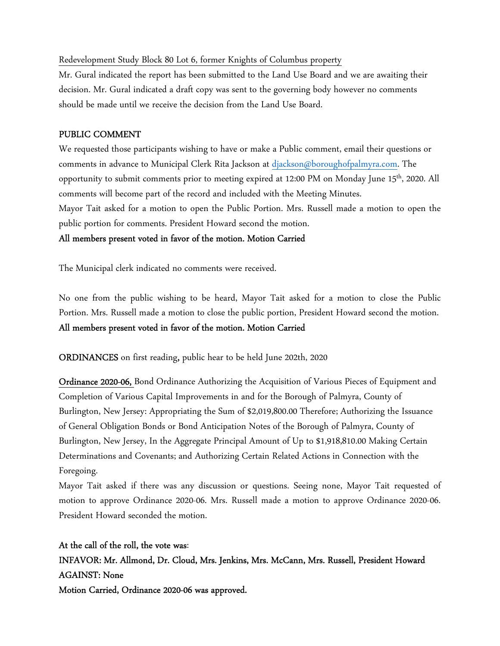#### Redevelopment Study Block 80 Lot 6, former Knights of Columbus property

Mr. Gural indicated the report has been submitted to the Land Use Board and we are awaiting their decision. Mr. Gural indicated a draft copy was sent to the governing body however no comments should be made until we receive the decision from the Land Use Board.

#### PUBLIC COMMENT

We requested those participants wishing to have or make a Public comment, email their questions or comments in advance to Municipal Clerk Rita Jackson at djackson@boroughofpalmyra.com. The opportunity to submit comments prior to meeting expired at 12:00 PM on Monday June 15<sup>th</sup>, 2020. All comments will become part of the record and included with the Meeting Minutes.

Mayor Tait asked for a motion to open the Public Portion. Mrs. Russell made a motion to open the public portion for comments. President Howard second the motion.

#### All members present voted in favor of the motion. Motion Carried

The Municipal clerk indicated no comments were received.

No one from the public wishing to be heard, Mayor Tait asked for a motion to close the Public Portion. Mrs. Russell made a motion to close the public portion, President Howard second the motion. All members present voted in favor of the motion. Motion Carried

ORDINANCES on first reading, public hear to be held June 202th, 2020

Ordinance 2020-06, Bond Ordinance Authorizing the Acquisition of Various Pieces of Equipment and Completion of Various Capital Improvements in and for the Borough of Palmyra, County of Burlington, New Jersey: Appropriating the Sum of \$2,019,800.00 Therefore; Authorizing the Issuance of General Obligation Bonds or Bond Anticipation Notes of the Borough of Palmyra, County of Burlington, New Jersey, In the Aggregate Principal Amount of Up to \$1,918,810.00 Making Certain Determinations and Covenants; and Authorizing Certain Related Actions in Connection with the Foregoing.

Mayor Tait asked if there was any discussion or questions. Seeing none, Mayor Tait requested of motion to approve Ordinance 2020-06. Mrs. Russell made a motion to approve Ordinance 2020-06. President Howard seconded the motion.

At the call of the roll, the vote was: INFAVOR: Mr. Allmond, Dr. Cloud, Mrs. Jenkins, Mrs. McCann, Mrs. Russell, President Howard AGAINST: None Motion Carried, Ordinance 2020-06 was approved.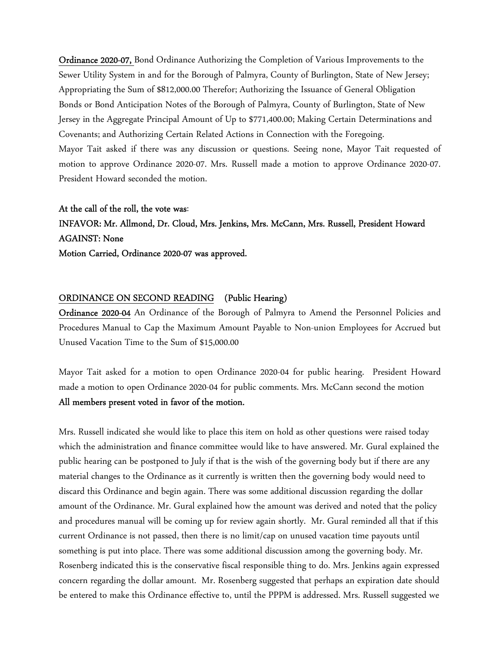Ordinance 2020-07, Bond Ordinance Authorizing the Completion of Various Improvements to the Sewer Utility System in and for the Borough of Palmyra, County of Burlington, State of New Jersey; Appropriating the Sum of \$812,000.00 Therefor; Authorizing the Issuance of General Obligation Bonds or Bond Anticipation Notes of the Borough of Palmyra, County of Burlington, State of New Jersey in the Aggregate Principal Amount of Up to \$771,400.00; Making Certain Determinations and Covenants; and Authorizing Certain Related Actions in Connection with the Foregoing. Mayor Tait asked if there was any discussion or questions. Seeing none, Mayor Tait requested of motion to approve Ordinance 2020-07. Mrs. Russell made a motion to approve Ordinance 2020-07. President Howard seconded the motion.

#### At the call of the roll, the vote was:

INFAVOR: Mr. Allmond, Dr. Cloud, Mrs. Jenkins, Mrs. McCann, Mrs. Russell, President Howard AGAINST: None Motion Carried, Ordinance 2020-07 was approved.

#### ORDINANCE ON SECOND READING (Public Hearing)

Ordinance 2020-04 An Ordinance of the Borough of Palmyra to Amend the Personnel Policies and Procedures Manual to Cap the Maximum Amount Payable to Non-union Employees for Accrued but Unused Vacation Time to the Sum of \$15,000.00

Mayor Tait asked for a motion to open Ordinance 2020-04 for public hearing. President Howard made a motion to open Ordinance 2020-04 for public comments. Mrs. McCann second the motion All members present voted in favor of the motion.

Mrs. Russell indicated she would like to place this item on hold as other questions were raised today which the administration and finance committee would like to have answered. Mr. Gural explained the public hearing can be postponed to July if that is the wish of the governing body but if there are any material changes to the Ordinance as it currently is written then the governing body would need to discard this Ordinance and begin again. There was some additional discussion regarding the dollar amount of the Ordinance. Mr. Gural explained how the amount was derived and noted that the policy and procedures manual will be coming up for review again shortly. Mr. Gural reminded all that if this current Ordinance is not passed, then there is no limit/cap on unused vacation time payouts until something is put into place. There was some additional discussion among the governing body. Mr. Rosenberg indicated this is the conservative fiscal responsible thing to do. Mrs. Jenkins again expressed concern regarding the dollar amount. Mr. Rosenberg suggested that perhaps an expiration date should be entered to make this Ordinance effective to, until the PPPM is addressed. Mrs. Russell suggested we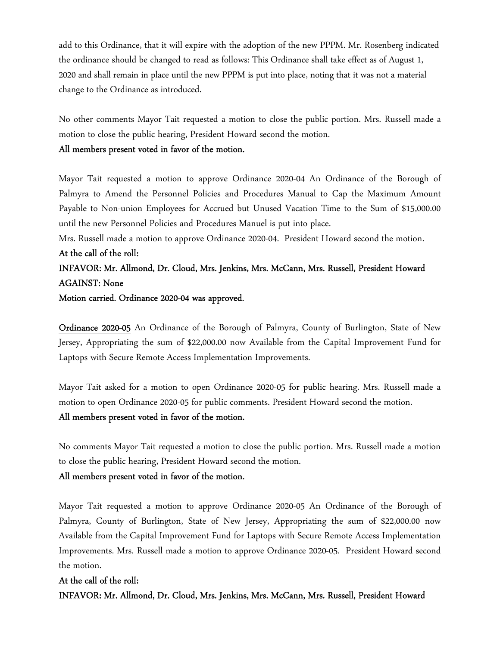add to this Ordinance, that it will expire with the adoption of the new PPPM. Mr. Rosenberg indicated the ordinance should be changed to read as follows: This Ordinance shall take effect as of August 1, 2020 and shall remain in place until the new PPPM is put into place, noting that it was not a material change to the Ordinance as introduced.

No other comments Mayor Tait requested a motion to close the public portion. Mrs. Russell made a motion to close the public hearing, President Howard second the motion.

#### All members present voted in favor of the motion.

Mayor Tait requested a motion to approve Ordinance 2020-04 An Ordinance of the Borough of Palmyra to Amend the Personnel Policies and Procedures Manual to Cap the Maximum Amount Payable to Non-union Employees for Accrued but Unused Vacation Time to the Sum of \$15,000.00 until the new Personnel Policies and Procedures Manuel is put into place.

Mrs. Russell made a motion to approve Ordinance 2020-04. President Howard second the motion.

## At the call of the roll:

## INFAVOR: Mr. Allmond, Dr. Cloud, Mrs. Jenkins, Mrs. McCann, Mrs. Russell, President Howard AGAINST: None

Motion carried. Ordinance 2020-04 was approved.

Ordinance 2020-05 An Ordinance of the Borough of Palmyra, County of Burlington, State of New Jersey, Appropriating the sum of \$22,000.00 now Available from the Capital Improvement Fund for Laptops with Secure Remote Access Implementation Improvements.

Mayor Tait asked for a motion to open Ordinance 2020-05 for public hearing. Mrs. Russell made a motion to open Ordinance 2020-05 for public comments. President Howard second the motion. All members present voted in favor of the motion.

No comments Mayor Tait requested a motion to close the public portion. Mrs. Russell made a motion to close the public hearing, President Howard second the motion.

#### All members present voted in favor of the motion.

Mayor Tait requested a motion to approve Ordinance 2020-05 An Ordinance of the Borough of Palmyra, County of Burlington, State of New Jersey, Appropriating the sum of \$22,000.00 now Available from the Capital Improvement Fund for Laptops with Secure Remote Access Implementation Improvements. Mrs. Russell made a motion to approve Ordinance 2020-05. President Howard second the motion.

At the call of the roll: INFAVOR: Mr. Allmond, Dr. Cloud, Mrs. Jenkins, Mrs. McCann, Mrs. Russell, President Howard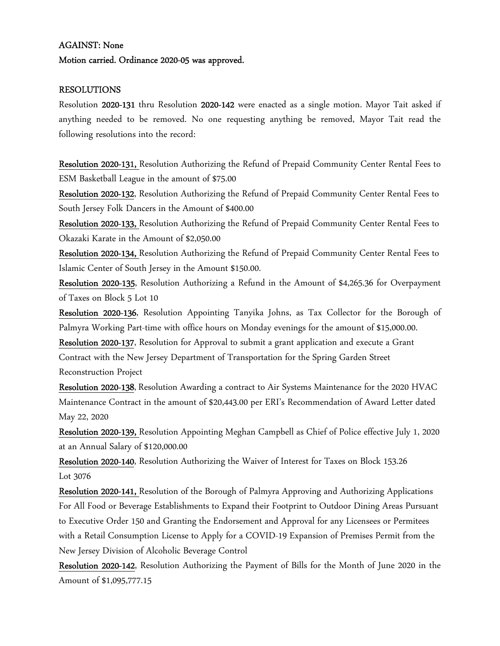#### AGAINST: None

#### Motion carried. Ordinance 2020-05 was approved.

#### RESOLUTIONS

Resolution 2020-131 thru Resolution 2020-142 were enacted as a single motion. Mayor Tait asked if anything needed to be removed. No one requesting anything be removed, Mayor Tait read the following resolutions into the record:

Resolution 2020-131, Resolution Authorizing the Refund of Prepaid Community Center Rental Fees to ESM Basketball League in the amount of \$75.00

Resolution 2020-132, Resolution Authorizing the Refund of Prepaid Community Center Rental Fees to South Jersey Folk Dancers in the Amount of \$400.00

Resolution 2020-133, Resolution Authorizing the Refund of Prepaid Community Center Rental Fees to Okazaki Karate in the Amount of \$2,050.00

Resolution 2020-134, Resolution Authorizing the Refund of Prepaid Community Center Rental Fees to Islamic Center of South Jersey in the Amount \$150.00.

Resolution 2020-135, Resolution Authorizing a Refund in the Amount of \$4,265.36 for Overpayment of Taxes on Block 5 Lot 10

Resolution 2020-136, Resolution Appointing Tanyika Johns, as Tax Collector for the Borough of Palmyra Working Part-time with office hours on Monday evenings for the amount of \$15,000.00.

Resolution 2020-137, Resolution for Approval to submit a grant application and execute a Grant Contract with the New Jersey Department of Transportation for the Spring Garden Street Reconstruction Project

Resolution 2020-138, Resolution Awarding a contract to Air Systems Maintenance for the 2020 HVAC Maintenance Contract in the amount of \$20,443.00 per ERI's Recommendation of Award Letter dated May 22, 2020

Resolution 2020-139, Resolution Appointing Meghan Campbell as Chief of Police effective July 1, 2020 at an Annual Salary of \$120,000.00

Resolution 2020-140, Resolution Authorizing the Waiver of Interest for Taxes on Block 153.26 Lot 3076

Resolution 2020-141, Resolution of the Borough of Palmyra Approving and Authorizing Applications For All Food or Beverage Establishments to Expand their Footprint to Outdoor Dining Areas Pursuant to Executive Order 150 and Granting the Endorsement and Approval for any Licensees or Permitees with a Retail Consumption License to Apply for a COVID-19 Expansion of Premises Permit from the New Jersey Division of Alcoholic Beverage Control

Resolution 2020-142, Resolution Authorizing the Payment of Bills for the Month of June 2020 in the Amount of \$1,095,777.15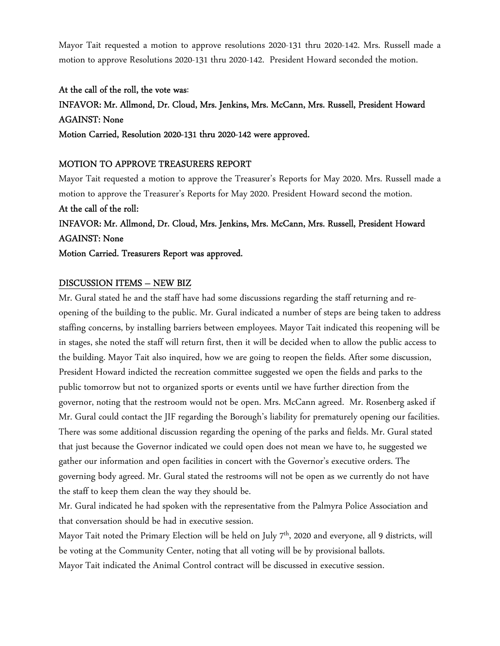Mayor Tait requested a motion to approve resolutions 2020-131 thru 2020-142. Mrs. Russell made a motion to approve Resolutions 2020-131 thru 2020-142. President Howard seconded the motion.

At the call of the roll, the vote was: INFAVOR: Mr. Allmond, Dr. Cloud, Mrs. Jenkins, Mrs. McCann, Mrs. Russell, President Howard AGAINST: None Motion Carried, Resolution 2020-131 thru 2020-142 were approved.

#### MOTION TO APPROVE TREASURERS REPORT

Mayor Tait requested a motion to approve the Treasurer's Reports for May 2020. Mrs. Russell made a motion to approve the Treasurer's Reports for May 2020. President Howard second the motion.

At the call of the roll: INFAVOR: Mr. Allmond, Dr. Cloud, Mrs. Jenkins, Mrs. McCann, Mrs. Russell, President Howard AGAINST: None

Motion Carried. Treasurers Report was approved.

#### DISCUSSION ITEMS – NEW BIZ

Mr. Gural stated he and the staff have had some discussions regarding the staff returning and reopening of the building to the public. Mr. Gural indicated a number of steps are being taken to address staffing concerns, by installing barriers between employees. Mayor Tait indicated this reopening will be in stages, she noted the staff will return first, then it will be decided when to allow the public access to the building. Mayor Tait also inquired, how we are going to reopen the fields. After some discussion, President Howard indicted the recreation committee suggested we open the fields and parks to the public tomorrow but not to organized sports or events until we have further direction from the governor, noting that the restroom would not be open. Mrs. McCann agreed. Mr. Rosenberg asked if Mr. Gural could contact the JIF regarding the Borough's liability for prematurely opening our facilities. There was some additional discussion regarding the opening of the parks and fields. Mr. Gural stated that just because the Governor indicated we could open does not mean we have to, he suggested we gather our information and open facilities in concert with the Governor's executive orders. The governing body agreed. Mr. Gural stated the restrooms will not be open as we currently do not have the staff to keep them clean the way they should be.

Mr. Gural indicated he had spoken with the representative from the Palmyra Police Association and that conversation should be had in executive session.

Mayor Tait noted the Primary Election will be held on July 7<sup>th</sup>, 2020 and everyone, all 9 districts, will be voting at the Community Center, noting that all voting will be by provisional ballots. Mayor Tait indicated the Animal Control contract will be discussed in executive session.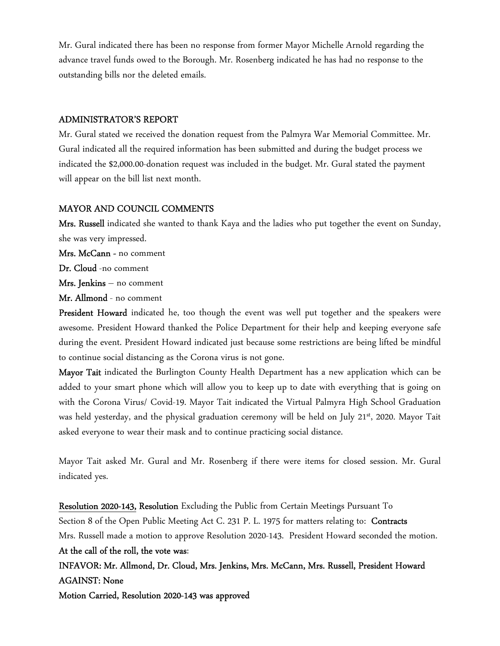Mr. Gural indicated there has been no response from former Mayor Michelle Arnold regarding the advance travel funds owed to the Borough. Mr. Rosenberg indicated he has had no response to the outstanding bills nor the deleted emails.

#### ADMINISTRATOR'S REPORT

Mr. Gural stated we received the donation request from the Palmyra War Memorial Committee. Mr. Gural indicated all the required information has been submitted and during the budget process we indicated the \$2,000.00-donation request was included in the budget. Mr. Gural stated the payment will appear on the bill list next month.

#### MAYOR AND COUNCIL COMMENTS

Mrs. Russell indicated she wanted to thank Kaya and the ladies who put together the event on Sunday, she was very impressed.

Mrs. McCann - no comment

Dr. Cloud -no comment

Mrs. Jenkins – no comment

Mr. Allmond - no comment

President Howard indicated he, too though the event was well put together and the speakers were awesome. President Howard thanked the Police Department for their help and keeping everyone safe during the event. President Howard indicated just because some restrictions are being lifted be mindful to continue social distancing as the Corona virus is not gone.

Mayor Tait indicated the Burlington County Health Department has a new application which can be added to your smart phone which will allow you to keep up to date with everything that is going on with the Corona Virus/ Covid-19. Mayor Tait indicated the Virtual Palmyra High School Graduation was held yesterday, and the physical graduation ceremony will be held on July 21st, 2020. Mayor Tait asked everyone to wear their mask and to continue practicing social distance.

Mayor Tait asked Mr. Gural and Mr. Rosenberg if there were items for closed session. Mr. Gural indicated yes.

Resolution 2020-143, Resolution Excluding the Public from Certain Meetings Pursuant To Section 8 of the Open Public Meeting Act C. 231 P. L. 1975 for matters relating to: Contracts Mrs. Russell made a motion to approve Resolution 2020-143. President Howard seconded the motion. At the call of the roll, the vote was: INFAVOR: Mr. Allmond, Dr. Cloud, Mrs. Jenkins, Mrs. McCann, Mrs. Russell, President Howard AGAINST: None Motion Carried, Resolution 2020-143 was approved